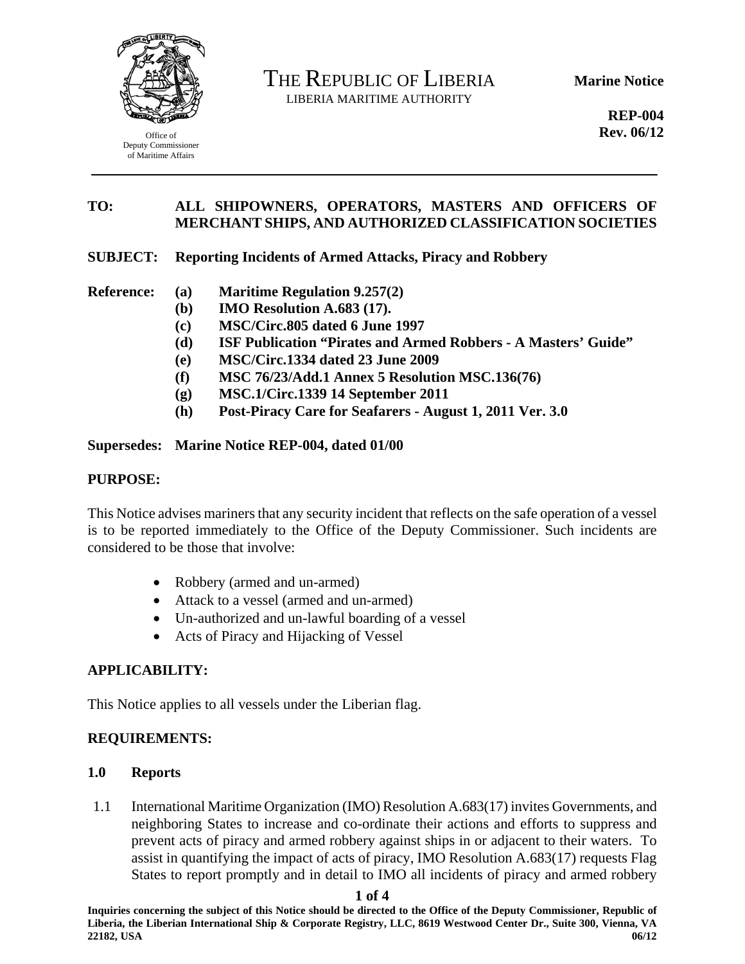

Office of Deputy Commissioner of Maritime Affairs

THE REPUBLIC OF LIBERIA LIBERIA MARITIME AUTHORITY

**Marine Notice** 

**REP-004 Rev. 06/12** 

## **TO: ALL SHIPOWNERS, OPERATORS, MASTERS AND OFFICERS OF MERCHANT SHIPS, AND AUTHORIZED CLASSIFICATION SOCIETIES**

## **SUBJECT: Reporting Incidents of Armed Attacks, Piracy and Robbery**

- **Reference: (a) Maritime Regulation 9.257(2)** 
	- **(b) IMO Resolution A.683 (17).**
	- **(c) MSC/Circ.805 dated 6 June 1997**
	- **(d) ISF Publication "Pirates and Armed Robbers A Masters' Guide"**
	- **(e) MSC/Circ.1334 dated 23 June 2009**
	- **(f) MSC 76/23/Add.1 Annex 5 Resolution MSC.136(76)**
	- **(g) MSC.1/Circ.1339 14 September 2011**
	- **(h) Post-Piracy Care for Seafarers August 1, 2011 Ver. 3.0**

## **Supersedes: Marine Notice REP-004, dated 01/00**

### **PURPOSE:**

This Notice advises mariners that any security incident that reflects on the safe operation of a vessel is to be reported immediately to the Office of the Deputy Commissioner. Such incidents are considered to be those that involve:

- Robbery (armed and un-armed)
- Attack to a vessel (armed and un-armed)
- Un-authorized and un-lawful boarding of a vessel
- Acts of Piracy and Hijacking of Vessel

# **APPLICABILITY:**

This Notice applies to all vessels under the Liberian flag.

### **REQUIREMENTS:**

### **1.0 Reports**

1.1 International Maritime Organization (IMO) Resolution A.683(17) invites Governments, and neighboring States to increase and co-ordinate their actions and efforts to suppress and prevent acts of piracy and armed robbery against ships in or adjacent to their waters. To assist in quantifying the impact of acts of piracy, IMO Resolution A.683(17) requests Flag States to report promptly and in detail to IMO all incidents of piracy and armed robbery

**1 of 4** 

**Inquiries concerning the subject of this Notice should be directed to the Office of the Deputy Commissioner, Republic of Liberia, the Liberian International Ship & Corporate Registry, LLC, 8619 Westwood Center Dr., Suite 300, Vienna, VA 22182, USA 06/12**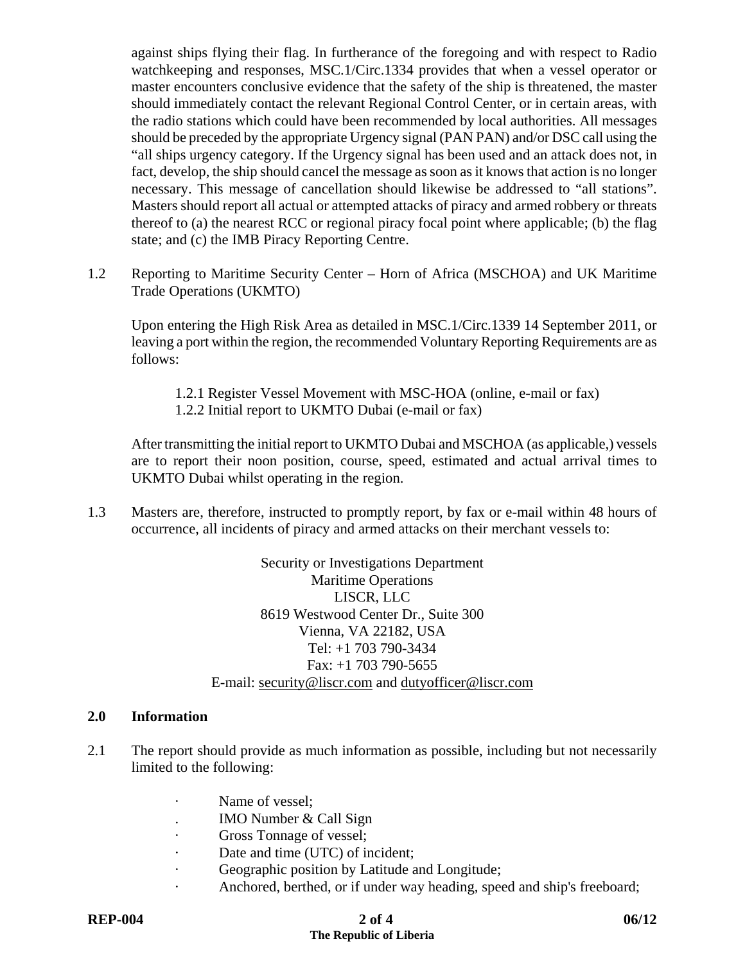against ships flying their flag. In furtherance of the foregoing and with respect to Radio watchkeeping and responses, MSC.1/Circ.1334 provides that when a vessel operator or master encounters conclusive evidence that the safety of the ship is threatened, the master should immediately contact the relevant Regional Control Center, or in certain areas, with the radio stations which could have been recommended by local authorities. All messages should be preceded by the appropriate Urgency signal (PAN PAN) and/or DSC call using the "all ships urgency category. If the Urgency signal has been used and an attack does not, in fact, develop, the ship should cancel the message as soon as it knows that action is no longer necessary. This message of cancellation should likewise be addressed to "all stations". Masters should report all actual or attempted attacks of piracy and armed robbery or threats thereof to (a) the nearest RCC or regional piracy focal point where applicable; (b) the flag state; and (c) the IMB Piracy Reporting Centre.

1.2 Reporting to Maritime Security Center – Horn of Africa (MSCHOA) and UK Maritime Trade Operations (UKMTO)

Upon entering the High Risk Area as detailed in MSC.1/Circ.1339 14 September 2011, or leaving a port within the region, the recommended Voluntary Reporting Requirements are as follows:

- 1.2.1 Register Vessel Movement with MSC-HOA (online, e-mail or fax)
- 1.2.2 Initial report to UKMTO Dubai (e-mail or fax)

After transmitting the initial report to UKMTO Dubai and MSCHOA (as applicable,) vessels are to report their noon position, course, speed, estimated and actual arrival times to UKMTO Dubai whilst operating in the region.

1.3 Masters are, therefore, instructed to promptly report, by fax or e-mail within 48 hours of occurrence, all incidents of piracy and armed attacks on their merchant vessels to:

> Security or Investigations Department Maritime Operations LISCR, LLC 8619 Westwood Center Dr., Suite 300 Vienna, VA 22182, USA Tel: +1 703 790-3434 Fax: +1 703 790-5655 E-mail: security@liscr.com and dutyofficer@liscr.com

### **2.0 Information**

- 2.1 The report should provide as much information as possible, including but not necessarily limited to the following:
	- Name of vessel;
	- . IMO Number & Call Sign
	- Gross Tonnage of vessel;
	- · Date and time (UTC) of incident;
	- · Geographic position by Latitude and Longitude;
	- Anchored, berthed, or if under way heading, speed and ship's freeboard;

# **REP-004** 2 of 4 06/12 **The Republic of Liberia**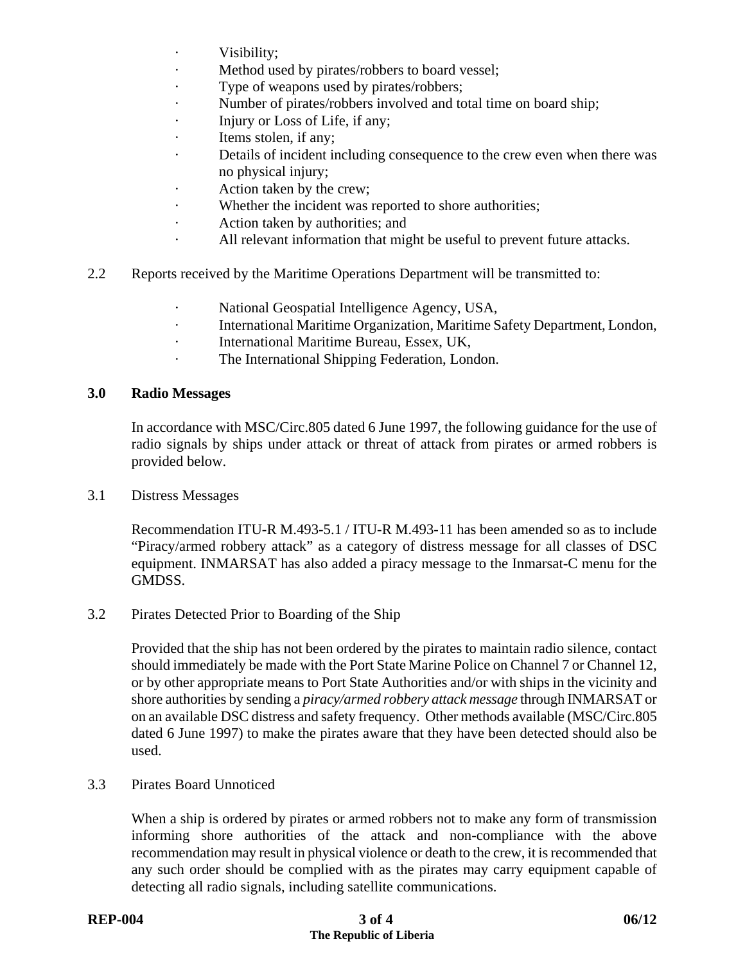- Visibility;
- · Method used by pirates/robbers to board vessel;
- Type of weapons used by pirates/robbers;
- Number of pirates/robbers involved and total time on board ship;
- · Injury or Loss of Life, if any;
- · Items stolen, if any;
- · Details of incident including consequence to the crew even when there was no physical injury;
- · Action taken by the crew;
- · Whether the incident was reported to shore authorities;
- · Action taken by authorities; and
- · All relevant information that might be useful to prevent future attacks.
- 2.2 Reports received by the Maritime Operations Department will be transmitted to:
	- National Geospatial Intelligence Agency, USA,
	- · International Maritime Organization, Maritime Safety Department, London,
	- · International Maritime Bureau, Essex, UK,
	- · The International Shipping Federation, London.

#### **3.0 Radio Messages**

In accordance with MSC/Circ.805 dated 6 June 1997, the following guidance for the use of radio signals by ships under attack or threat of attack from pirates or armed robbers is provided below.

3.1 Distress Messages

Recommendation ITU-R M.493-5.1 / ITU-R M.493-11 has been amended so as to include "Piracy/armed robbery attack" as a category of distress message for all classes of DSC equipment. INMARSAT has also added a piracy message to the Inmarsat-C menu for the GMDSS.

3.2 Pirates Detected Prior to Boarding of the Ship

Provided that the ship has not been ordered by the pirates to maintain radio silence, contact should immediately be made with the Port State Marine Police on Channel 7 or Channel 12, or by other appropriate means to Port State Authorities and/or with ships in the vicinity and shore authorities by sending a *piracy/armed robbery attack message* through INMARSAT or on an available DSC distress and safety frequency. Other methods available (MSC/Circ.805 dated 6 June 1997) to make the pirates aware that they have been detected should also be used.

3.3 Pirates Board Unnoticed

When a ship is ordered by pirates or armed robbers not to make any form of transmission informing shore authorities of the attack and non-compliance with the above recommendation may result in physical violence or death to the crew, it is recommended that any such order should be complied with as the pirates may carry equipment capable of detecting all radio signals, including satellite communications.